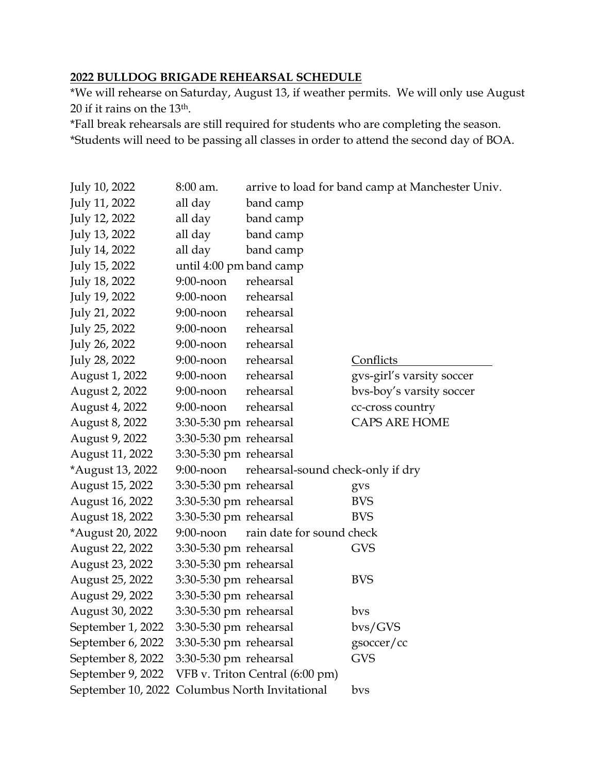## **2022 BULLDOG BRIGADE REHEARSAL SCHEDULE**

\*We will rehearse on Saturday, August 13, if weather permits. We will only use August 20 if it rains on the 13th.

\*Fall break rehearsals are still required for students who are completing the season. \*Students will need to be passing all classes in order to attend the second day of BOA.

| July 10, 2022                                  | $8:00$ am.               |                                   | arrive to load for band camp at Manchester Univ. |
|------------------------------------------------|--------------------------|-----------------------------------|--------------------------------------------------|
| July 11, 2022                                  | all day                  | band camp                         |                                                  |
| July 12, 2022                                  | all day                  | band camp                         |                                                  |
| July 13, 2022                                  | all day                  | band camp                         |                                                  |
| July 14, 2022                                  | all day                  | band camp                         |                                                  |
| July 15, 2022                                  | until 4:00 pm band camp  |                                   |                                                  |
| July 18, 2022                                  | $9:00$ -noon             | rehearsal                         |                                                  |
| July 19, 2022                                  | $9:00$ -noon             | rehearsal                         |                                                  |
| July 21, 2022                                  | $9:00$ -noon             | rehearsal                         |                                                  |
| July 25, 2022                                  | $9:00$ -noon             | rehearsal                         |                                                  |
| July 26, 2022                                  | $9:00$ -noon             | rehearsal                         |                                                  |
| July 28, 2022                                  | $9:00$ -noon             | rehearsal                         | Conflicts                                        |
| August 1, 2022                                 | $9:00$ -noon             | rehearsal                         | gvs-girl's varsity soccer                        |
| August 2, 2022                                 | $9:00$ -noon             | rehearsal                         | bvs-boy's varsity soccer                         |
| August 4, 2022                                 | $9:00$ -noon             | rehearsal                         | cc-cross country                                 |
| August 8, 2022                                 | 3:30-5:30 pm rehearsal   |                                   | <b>CAPS ARE HOME</b>                             |
| August 9, 2022                                 | $3:30-5:30$ pm rehearsal |                                   |                                                  |
| August 11, 2022                                | 3:30-5:30 pm rehearsal   |                                   |                                                  |
| *August 13, 2022                               | $9:00$ -noon             | rehearsal-sound check-only if dry |                                                  |
| August 15, 2022                                | 3:30-5:30 pm rehearsal   |                                   | gvs                                              |
| August 16, 2022                                | $3:30-5:30$ pm rehearsal |                                   | <b>BVS</b>                                       |
| August 18, 2022                                | $3:30-5:30$ pm rehearsal |                                   | <b>BVS</b>                                       |
| *August 20, 2022                               | $9:00$ -noon             | rain date for sound check         |                                                  |
| August 22, 2022                                | $3:30-5:30$ pm rehearsal |                                   | <b>GVS</b>                                       |
| August 23, 2022                                | 3:30-5:30 pm rehearsal   |                                   |                                                  |
| August 25, 2022                                | 3:30-5:30 pm rehearsal   |                                   | <b>BVS</b>                                       |
| August 29, 2022                                | 3:30-5:30 pm rehearsal   |                                   |                                                  |
| August 30, 2022                                | 3:30-5:30 pm rehearsal   |                                   | bys                                              |
| September 1, 2022                              | 3:30-5:30 pm rehearsal   |                                   | bys/GVS                                          |
| September 6, 2022                              | 3:30-5:30 pm rehearsal   |                                   | gsoccer/cc                                       |
| September 8, 2022                              | 3:30-5:30 pm rehearsal   |                                   | <b>GVS</b>                                       |
| September 9, 2022                              |                          | VFB v. Triton Central (6:00 pm)   |                                                  |
| September 10, 2022 Columbus North Invitational |                          |                                   | bys                                              |